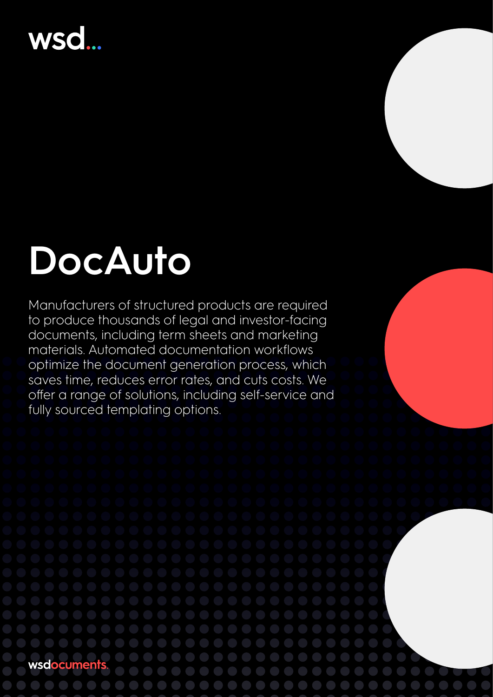## **wsd**

# **DocAuto**

Manufacturers of structured products are required to produce thousands of legal and investor-facing documents, including term sheets and marketing materials. Automated documentation workflows optimize the document generation process, which saves time, reduces error rates, and cuts costs. We offer a range of solutions, including self-service and fully sourced templating options.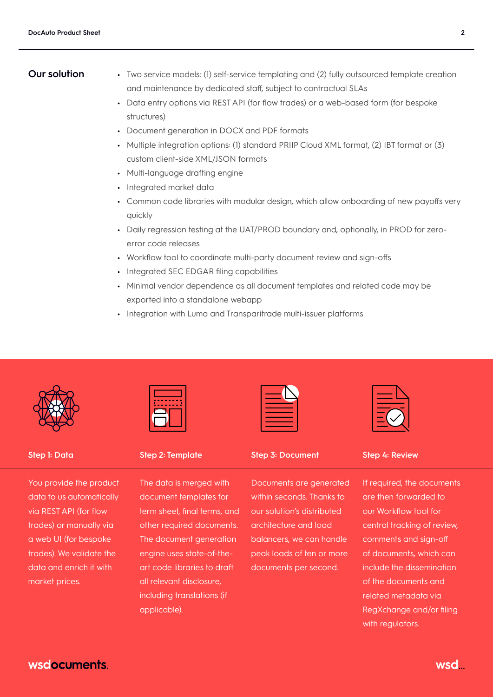- **Our solution •** Two service models: (1) self-service templating and (2) fully outsourced template creation and maintenance by dedicated staff, subject to contractual SLAs
	- **•** Data entry options via REST API (for flow trades) or a web-based form (for bespoke structures)
	- **•** Document generation in DOCX and PDF formats
	- **•** Multiple integration options: (1) standard PRIIP Cloud XML format, (2) IBT format or (3) custom client-side XML/JSON formats
	- **•** Multi-language drafting engine
	- **•** Integrated market data
	- **•** Common code libraries with modular design, which allow onboarding of new payoffs very quickly
	- **•** Daily regression testing at the UAT/PROD boundary and, optionally, in PROD for zeroerror code releases
	- **•** Workflow tool to coordinate multi-party document review and sign-offs
	- **•** Integrated SEC EDGAR filing capabilities
	- **•** Minimal vendor dependence as all document templates and related code may be exported into a standalone webapp
	- **•** Integration with Luma and Transparitrade multi-issuer platforms



You provide the product data to us automatically via REST API (for flow trades) or manually via a web UI (for bespoke trades). We validate the data and enrich it with market prices.



The data is merged with document templates for term sheet, final terms, and other required documents. The document generation engine uses state-of-theart code libraries to draft all relevant disclosure, including translations (if applicable).

**Step 1: Data Step 2: Template Step 3: Document Step 4: Review**

Documents are generated within seconds. Thanks to our solution's distributed architecture and load balancers, we can handle peak loads of ten or more documents per second.

If required, the documents are then forwarded to our Workflow tool for central tracking of review, comments and sign-off of documents, which can include the dissemination of the documents and related metadata via RegXchange and/or filing with regulators.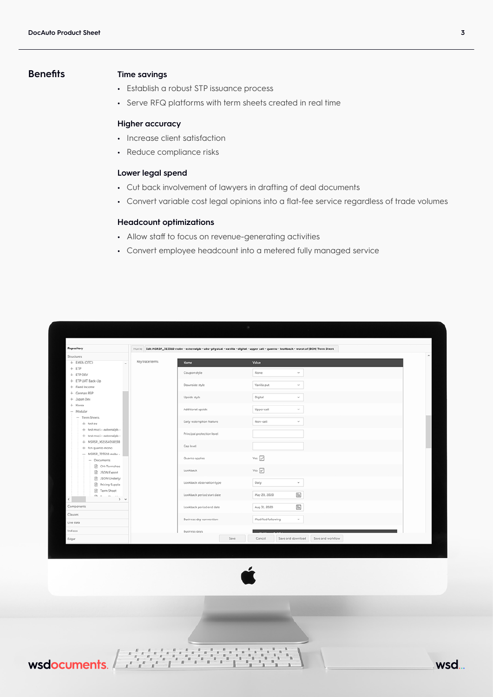## **Benefits Time savings**

- **•** Establish a robust STP issuance process
- **•** Serve RFQ platforms with term sheets created in real time

## **Higher accuracy**

- **•** Increase client satisfaction
- **•** Reduce compliance risks

## **Lower legal spend**

- **•** Cut back involvement of lawyers in drafting of deal documents
- **•** Convert variable cost legal opinions into a flat-fee service regardless of trade volumes

## **Headcount optimizations**

- **•** Allow staff to focus on revenue-generating activities
- **•** Convert employee headcount into a metered fully managed service

| Repository                                  |                 |                            | Home Edit MSRSP_723510 msbv - externalpb - ubs- physical - vanilla - digital - upper call - quanto - lookback - worst of (BEN) Term Sheet                                                                                                                                                                                                           |
|---------------------------------------------|-----------------|----------------------------|-----------------------------------------------------------------------------------------------------------------------------------------------------------------------------------------------------------------------------------------------------------------------------------------------------------------------------------------------------|
| Structures                                  |                 |                            |                                                                                                                                                                                                                                                                                                                                                     |
| + EMEA (OTC)<br>$\lambda$                   | Key trace terms | <b>Name</b>                | Value                                                                                                                                                                                                                                                                                                                                               |
| $+ ETP$<br>+ ETP DEV                        |                 | Coupon style               | None<br>$\mathbf{b} \mathbf{d}$                                                                                                                                                                                                                                                                                                                     |
| + ETP UAT Back-Up                           |                 |                            |                                                                                                                                                                                                                                                                                                                                                     |
| + Fixed Income                              |                 | Downside style             | Vanilla put<br>$\mathcal{L}_{\mathcal{A}}$                                                                                                                                                                                                                                                                                                          |
| + German RSP                                |                 |                            |                                                                                                                                                                                                                                                                                                                                                     |
| + Japan Dev                                 |                 | Upside style               | Digital<br>$\sim$                                                                                                                                                                                                                                                                                                                                   |
| $+$ Korea                                   |                 | Additional upside          | Upper call<br>$\mathbf{u}_i$                                                                                                                                                                                                                                                                                                                        |
| $-$ Modular<br>- Term Sheets                |                 |                            |                                                                                                                                                                                                                                                                                                                                                     |
| $+$ test ex                                 |                 | Early redemption feature   | Non-call<br>$\sim$                                                                                                                                                                                                                                                                                                                                  |
| + test msci - externalpb -                  |                 |                            |                                                                                                                                                                                                                                                                                                                                                     |
| + test msci - externalpb -                  |                 | Principal protection level |                                                                                                                                                                                                                                                                                                                                                     |
| + MSRSP_XS1554058138<br>$+$ fcn quanto mono |                 | Cap level                  |                                                                                                                                                                                                                                                                                                                                                     |
| - MSRSP_723510 msbv -                       |                 |                            |                                                                                                                                                                                                                                                                                                                                                     |
| - Documents                                 |                 | Quanto applies             | Yes $\boxed{\swarrow}$                                                                                                                                                                                                                                                                                                                              |
| CH-Termshee                                 |                 |                            |                                                                                                                                                                                                                                                                                                                                                     |
| 35ON Export                                 |                 | Lookback                   | Yes $\boxed{\swarrow}$                                                                                                                                                                                                                                                                                                                              |
| 35ON Underlyi<br>Pricing Supple             |                 | Lookback observation type  | Daily<br>v                                                                                                                                                                                                                                                                                                                                          |
| Term Sheet                                  |                 |                            |                                                                                                                                                                                                                                                                                                                                                     |
| Ch.~w.<br>$P2 - 2.5$<br>><br>$\epsilon$     |                 | Lookback period start date | 面<br>May 20, 2020                                                                                                                                                                                                                                                                                                                                   |
| Components                                  |                 |                            | $\begin{picture}(20,20) \put(0,0){\line(1,0){10}} \put(15,0){\line(1,0){10}} \put(15,0){\line(1,0){10}} \put(15,0){\line(1,0){10}} \put(15,0){\line(1,0){10}} \put(15,0){\line(1,0){10}} \put(15,0){\line(1,0){10}} \put(15,0){\line(1,0){10}} \put(15,0){\line(1,0){10}} \put(15,0){\line(1,0){10}} \put(15,0){\line(1,0){10}} \put(15,0){\line(1$ |
| Clauses<br>Live data                        |                 | Lookback period end date   | Aug 31, 2020                                                                                                                                                                                                                                                                                                                                        |
|                                             |                 | Business day convention    | Modified following<br>$\mathbf{v}$                                                                                                                                                                                                                                                                                                                  |
|                                             |                 |                            |                                                                                                                                                                                                                                                                                                                                                     |
| Indices                                     |                 | <b>Business days</b>       |                                                                                                                                                                                                                                                                                                                                                     |
| Edgar                                       |                 | Save                       | Cancel<br>Save and download<br>Save and workflow                                                                                                                                                                                                                                                                                                    |